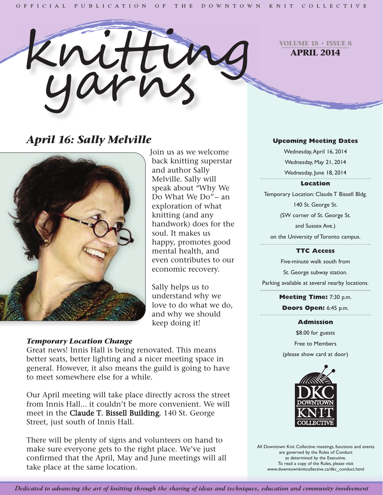

**VOLUME 18 • ISSUE 8 APRIL 2014**

# *April 16: Sally Melville*



Join us as we welcome back knitting superstar and author Sally Melville. Sally will speak about "Why We Do What We Do"– an exploration of what knitting (and any handwork) does for the soul. It makes us happy, promotes good mental health, and even contributes to our economic recovery.

Sally helps us to understand why we love to do what we do, and why we should keep doing it!

# *Temporary Location Change*

Great news! Innis Hall is being renovated. This means better seats, better lighting and a nicer meeting space in general. However, it also means the guild is going to have to meet somewhere else for a while.

Our April meeting will take place directly across the street from Innis Hall... it couldn't be more convenient. We will meet in the Claude T. Bissell Building, 140 St. George Street, just south of Innis Hall.

There will be plenty of signs and volunteers on hand to make sure everyone gets to the right place. We've just confirmed that the April, May and June meetings will all take place at the same location.

### **Upcoming Meeting Dates**

Wednesday,April 16, 2014 Wednesday, May 21, 2014 Wednesday, June 18, 2014

#### **Location**

Temporary Location: Claude T Bissell Bldg. 140 St. George St. (SW corner of St. George St.

and Sussex Ave.)

on the University of Toronto campus.

#### **TTC Access**

Five-minute walk south from St. George subway station. Parking available at several nearby locations.

> **Meeting Time:** 7:30 p.m. **Doors Open:** 6:45 p.m.

> > **Admission**

\$8.00 for guests Free to Members (please show card at door)



All Downtown Knit Collective meetings, functions and events are governed by the Rules of Conduct as determined by the Executive. To read a copy of the Rules, please visit www.downtownknitcollective.ca/dkc\_conduct.html

Dedicated to advancing the art of knitting through the sharing of ideas and techniques, education and community involvement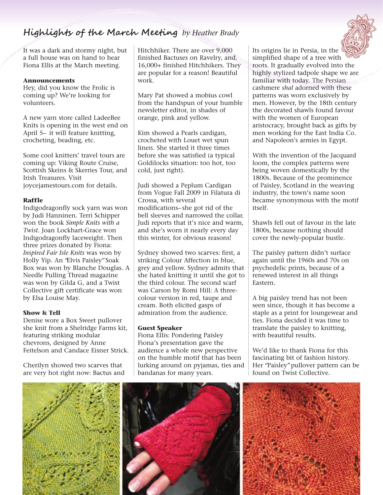# **Highlights of the March Meeting** *by Heather Brady*

It was a dark and stormy night, but a full house was on hand to hear Fiona Ellis at the March meeting.

#### **Announcements**

Hey, did you know the Frolic is coming up? We're looking for volunteers.

A new yarn store called LadeeBee Knits is opening in the west end on April 5– it will feature knitting, crocheting, beading, etc.

Some cool knitters' travel tours are coming up: Viking Route Cruise, Scottish Skeins & Skerries Tour, and Irish Treasures. Visit joycejamestours.com for details.

#### **Raffle**

Indigodragonfly sock yarn was won by Judi Hanninen. Terri Schipper won the book *Simple Knits with a Twist*. Joan Lockhart-Grace won Indigodragonfly laceweight. Then three prizes donated by Fiona: *Inspired Fair Isle Knits* was won by Holly Yip. An "Elvis Paisley"Soak Box was won by Blanche Douglas. A Needle Pulling Thread magazine was won by Gilda G, and a Twist Collective gift certificate was won by Elsa Louise May.

#### **Show & Tell**

Denise wore a Box Sweet pullover she knit from a Shelridge Farms kit, featuring striking modular chevrons, designed by Anne Feitelson and Candace Eisner Strick.

Cherilyn showed two scarves that are very hot right now: Bactus and Hitchhiker. There are over 9,000 finished Bactuses on Ravelry, and. 16,000+ finished Hitchhikers. They are popular for a reason! Beautiful work.

Mary Pat showed a mobius cowl from the handspun of your humble newsletter editor, in shades of orange, pink and yellow.

Kim showed a Pearls cardigan, crocheted with Louet wet spun linen. She started it three times before she was satisfied (a typical Goldilocks situation: too hot, too cold, just right).

Judi showed a Peplum Cardigan from Vogue Fall 2009 in Filatura di Crossa, with several modifications– she got rid of the bell sleeves and narrowed the collar. Judi reports that it's nice and warm, and she's worn it nearly every day this winter, for obvious reasons!

Sydney showed two scarves: first, a striking Colour Affection in blue, grey and yellow. Sydney admits that she hated knitting it until she got to the third colour. The second scarf was Carson by Romi Hill: A threecolour version in red, taupe and cream. Both elicited gasps of admiration from the audience.

#### **Guest Speaker**

Fiona Ellis: Pondering Paisley Fiona's presentation gave the audience a whole new perspective on the humble motif that has been lurking around on pyjamas, ties and bandanas for many years.

Its origins lie in Persia, in the simplified shape of a tree with roots. It gradually evolved into the highly stylized tadpole shape we are familiar with today. The Persian cashmere *shal* adorned with these patterns was worn exclusively by men. However, by the 18th century the decorated shawls found favour with the women of European aristocracy, brought back as gifts by men working for the East India Co. and Napoleon's armies in Egypt.

With the invention of the Jacquard loom, the complex patterns were being woven domestically by the 1800s. Because of the prominence of Paisley, Scotland in the weaving industry, the town's name soon became synonymous with the motif itself.

Shawls fell out of favour in the late 1800s, because nothing should cover the newly-popular bustle.

The paisley pattern didn't surface again until the 1960s and 70s on psychedelic prints, because of a renewed interest in all things Eastern.

A big paisley trend has not been seen since, though it has become a staple as a print for loungewear and ties. Fiona decided it was time to translate the paisley to knitting, with beautiful results.

We'd like to thank Fiona for this fascinating bit of fashion history. Her "Paisley"pullover pattern can be found on Twist Collective.



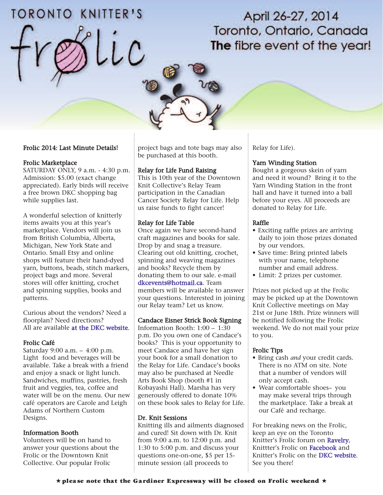# TORONTO KNITTER'S

# April 26-27, 2014 Toronto, Ontario, Canada The fibre event of the year!

#### Frolic 2014: Last Minute Details!

#### Frolic Marketplace

SATURDAY ONLY, 9 a.m. - 4:30 p.m. Admission: \$5.00 (exact change appreciated). Early birds will receive a free brown DKC shopping bag while supplies last.

A wonderful selection of knitterly items awaits you at this year's marketplace. Vendors will join us from British Columbia, Alberta, Michigan, New York State and Ontario. Small Etsy and online shops will feature their hand-dyed yarn, buttons, beads, stitch markers, project bags and more. Several stores will offer knitting, crochet and spinning supplies, books and patterns.

Curious about the vendors? Need a floorplan? Need directions? All are available [at the DKC website.](http://downtownknitcollective.ca/wp/?page_id=180)

#### Frolic Café:

Saturday 9:00 a.m. – 4:00 p.m. Light food and beverages will be available. Take a break with a friend and enjoy a snack or light lunch. Sandwiches, muffins, pastries, fresh fruit and veggies, tea, coffee and water will be on the menu. Our new café operators are Carole and Leigh Adams of Northern Custom Designs.

#### Information Booth

Volunteers will be on hand to answer your questions about the Frolic or the Downtown Knit Collective. Our popular Frolic

project bags and tote bags may also be purchased at this booth.

#### Relay for Life Fund Raising

This is 10th year of the Downtown Knit Collective's Relay Team participation in the Canadian Cancer Society Relay for Life. Help us raise funds to fight cancer!

#### Relay for Life Table

Once again we have second-hand craft magazines and books for sale. Drop by and snag a treasure. Clearing out old knitting, crochet, spinning and weaving magazines and books? Recycle them by donating them to our sale. e-mail [dkcevents@hotmail.ca.](mailto: dkcevents@hotmail.com) Team members will be available to answer your questions. Interested in joining our Relay team? Let us know.

#### Candace Eisner Strick Book Signing

Information Booth: 1:00 – 1:30 p.m. Do you own one of Candace's books? This is your opportunity to meet Candace and have her sign your book for a small donation to the Relay for Life. Candace's books may also be purchased at Needle Arts Book Shop (booth #1 in Kobayashi Hall). Marsha has very generously offered to donate 10% on these book sales to Relay for Life.

#### Dr. Knit Sessions

Knitting ills and ailments diagnosed and cured! Sit down with Dr. Knit from 9:00 a.m. to 12:00 p.m. and 1:30 to 5:00 p.m. and discuss your questions one-on-one, \$5 per 15 minute session (all proceeds to

Relay for Life).

#### Yarn Winding Station

Bought a gorgeous skein of yarn and need it wound? Bring it to the Yarn Winding Station in the front hall and have it turned into a ball before your eyes. All proceeds are donated to Relay for Life.

#### Raffle

- Exciting raffle prizes are arriving daily to join those prizes donated by our vendors.
- Save time: Bring printed labels with your name, telephone number and email address.
- Limit: 2 prizes per customer.

Prizes not picked up at the Frolic may be picked up at the Downtown Knit Collective meetings on May 21st or June 18th. Prize winners will be notified following the Frolic weekend. We do not mail your prize to you.

#### Frolic Tips

- Bring cash *and* your credit cards. There is no ATM on site. Note that a number of vendors will only accept cash.
- Wear comfortable shoes– you may make several trips through the marketplace. Take a break at our Café and recharge.

For breaking news on the Frolic, keep an eye on the Toronto Knitter's Frolic forum on [Ravelry,](http://www.ravelry.com/groups/toronto-knitters-frolic) Knittter's Frolic on [Facebook](https://www.facebook.com/pages/Knitters-Frolic/1388577831390570?fref=ts) and Knitter's Frolic on the [DKC website.](http://downtownknitcollective.ca/wp/?page_id=14) See you there!